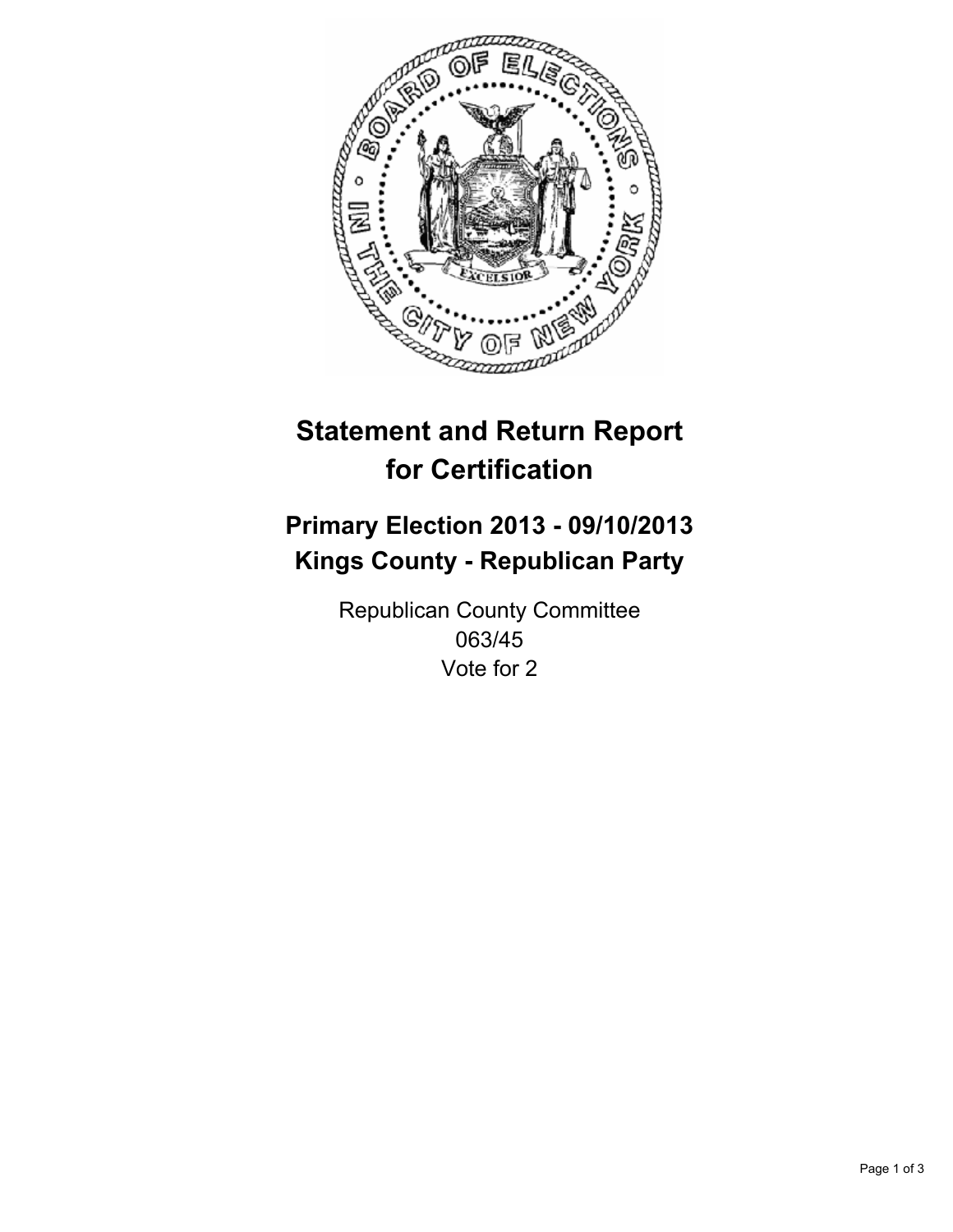

# **Statement and Return Report for Certification**

# **Primary Election 2013 - 09/10/2013 Kings County - Republican Party**

Republican County Committee 063/45 Vote for 2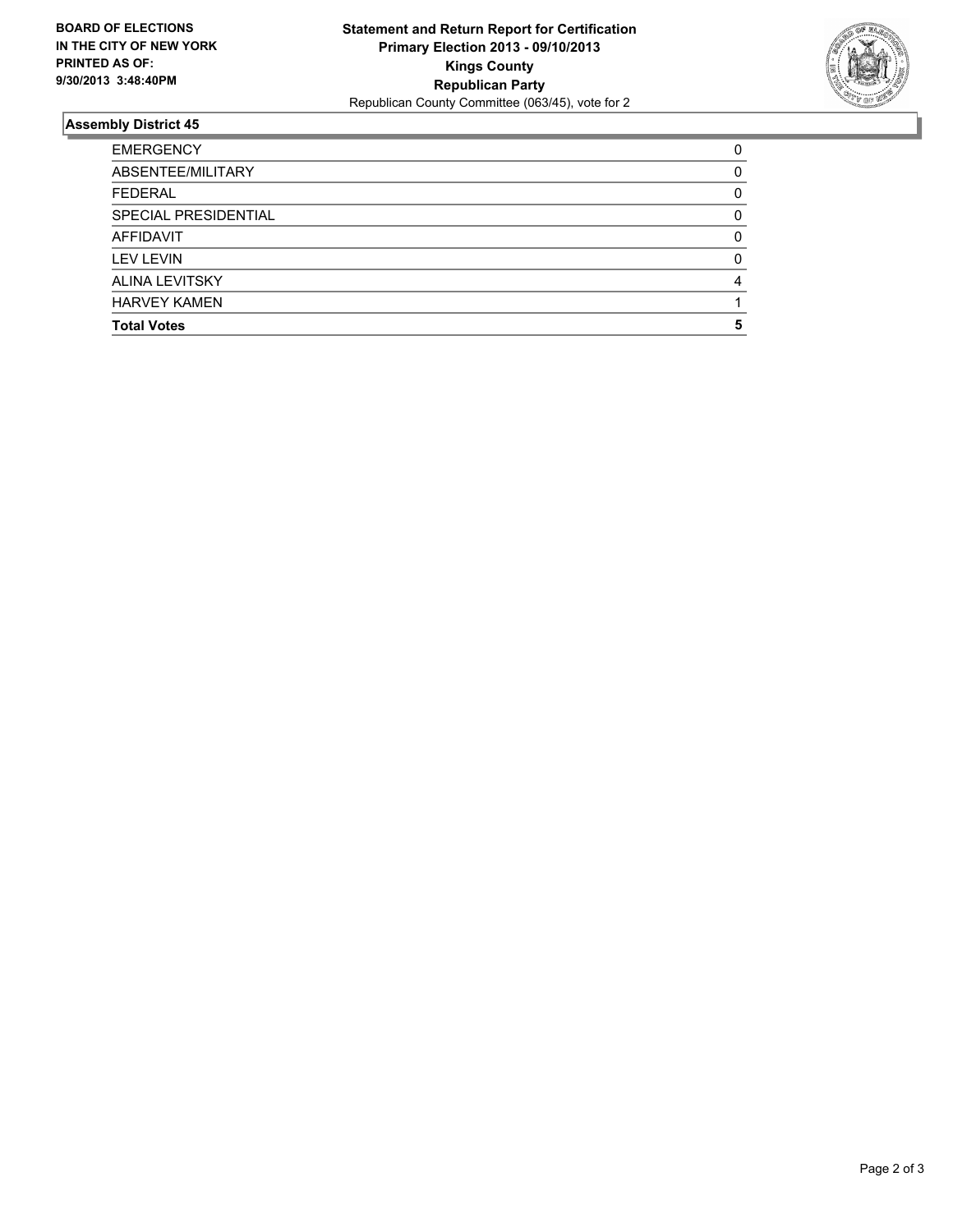

## **Assembly District 45**

| SPECIAL PRESIDENTIAL  | O |
|-----------------------|---|
| AFFIDAVIT             | 0 |
| <b>LEV LEVIN</b>      | O |
| <b>ALINA LEVITSKY</b> | 4 |
| <b>HARVEY KAMEN</b>   |   |
| <b>Total Votes</b>    | 5 |